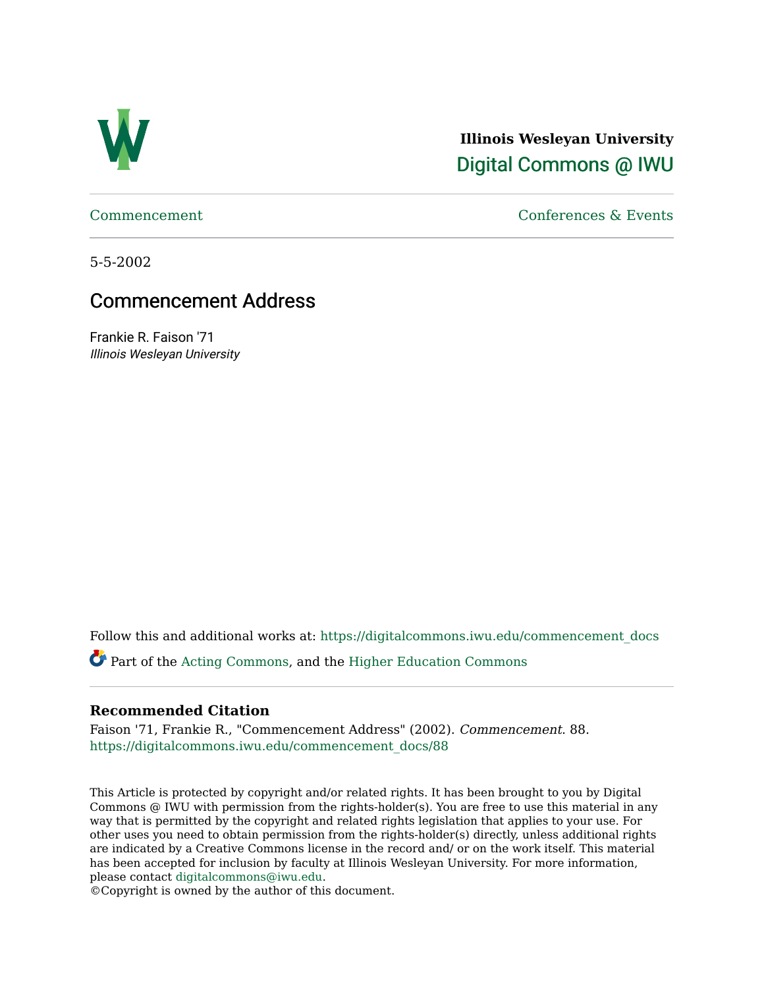

**Illinois Wesleyan University**  [Digital Commons @ IWU](https://digitalcommons.iwu.edu/) 

[Commencement](https://digitalcommons.iwu.edu/commencement_docs) [Conferences & Events](https://digitalcommons.iwu.edu/con_events) 

5-5-2002

## Commencement Address

Frankie R. Faison '71 Illinois Wesleyan University

Follow this and additional works at: [https://digitalcommons.iwu.edu/commencement\\_docs](https://digitalcommons.iwu.edu/commencement_docs?utm_source=digitalcommons.iwu.edu%2Fcommencement_docs%2F88&utm_medium=PDF&utm_campaign=PDFCoverPages) 

Part of the [Acting Commons,](http://network.bepress.com/hgg/discipline/1145?utm_source=digitalcommons.iwu.edu%2Fcommencement_docs%2F88&utm_medium=PDF&utm_campaign=PDFCoverPages) and the [Higher Education Commons](http://network.bepress.com/hgg/discipline/1245?utm_source=digitalcommons.iwu.edu%2Fcommencement_docs%2F88&utm_medium=PDF&utm_campaign=PDFCoverPages) 

## **Recommended Citation**

Faison '71, Frankie R., "Commencement Address" (2002). Commencement. 88. [https://digitalcommons.iwu.edu/commencement\\_docs/88](https://digitalcommons.iwu.edu/commencement_docs/88?utm_source=digitalcommons.iwu.edu%2Fcommencement_docs%2F88&utm_medium=PDF&utm_campaign=PDFCoverPages) 

This Article is protected by copyright and/or related rights. It has been brought to you by Digital Commons @ IWU with permission from the rights-holder(s). You are free to use this material in any way that is permitted by the copyright and related rights legislation that applies to your use. For other uses you need to obtain permission from the rights-holder(s) directly, unless additional rights are indicated by a Creative Commons license in the record and/ or on the work itself. This material has been accepted for inclusion by faculty at Illinois Wesleyan University. For more information, please contact [digitalcommons@iwu.edu.](mailto:digitalcommons@iwu.edu)

©Copyright is owned by the author of this document.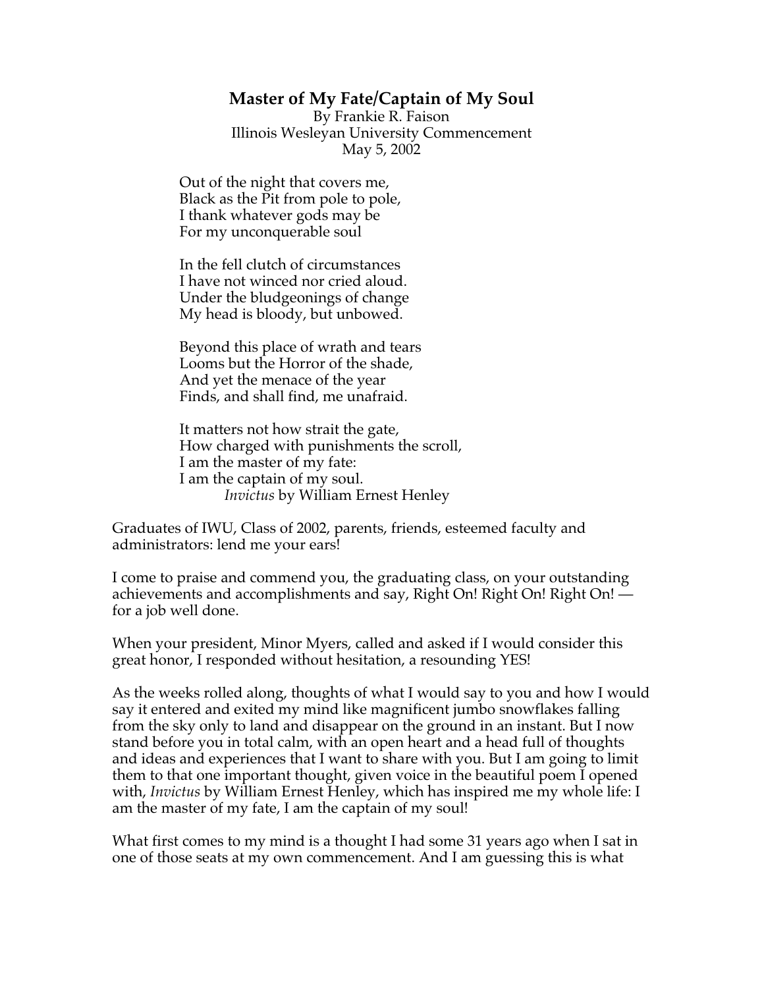## **Master of My Fate/Captain of My Soul**

By Frankie R. Faison Illinois Wesleyan University Commencement May 5, 2002

Out of the night that covers me, Black as the Pit from pole to pole, I thank whatever gods may be For my unconquerable soul

In the fell clutch of circumstances I have not winced nor cried aloud. Under the bludgeonings of change My head is bloody, but unbowed.

Beyond this place of wrath and tears Looms but the Horror of the shade, And yet the menace of the year Finds, and shall find, me unafraid.

It matters not how strait the gate, How charged with punishments the scroll, I am the master of my fate: I am the captain of my soul. *Invictus* by William Ernest Henley

Graduates of IWU, Class of 2002, parents, friends, esteemed faculty and administrators: lend me your ears!

I come to praise and commend you, the graduating class, on your outstanding achievements and accomplishments and say, Right On! Right On! Right On! for a job well done.

When your president, Minor Myers, called and asked if I would consider this great honor, I responded without hesitation, a resounding YES!

As the weeks rolled along, thoughts of what I would say to you and how I would say it entered and exited my mind like magnificent jumbo snowflakes falling from the sky only to land and disappear on the ground in an instant. But I now stand before you in total calm, with an open heart and a head full of thoughts and ideas and experiences that I want to share with you. But I am going to limit them to that one important thought, given voice in the beautiful poem I opened with, *Invictus* by William Ernest Henley, which has inspired me my whole life: I am the master of my fate, I am the captain of my soul!

What first comes to my mind is a thought I had some 31 years ago when I sat in one of those seats at my own commencement. And I am guessing this is what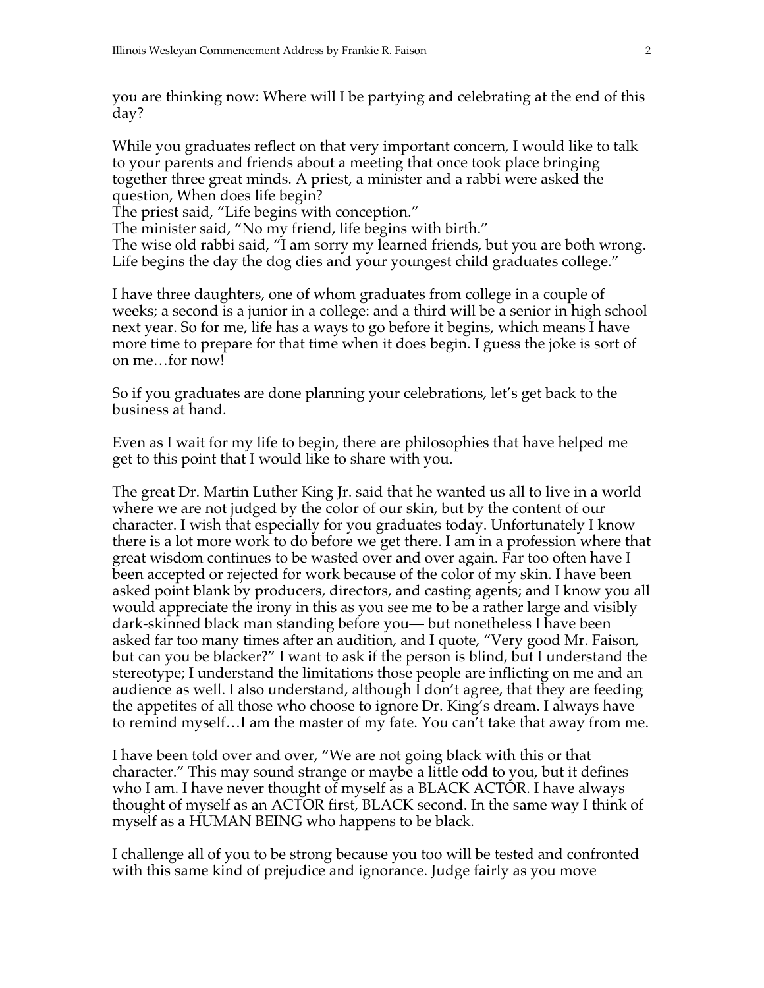you are thinking now: Where will I be partying and celebrating at the end of this day?

While you graduates reflect on that very important concern, I would like to talk to your parents and friends about a meeting that once took place bringing together three great minds. A priest, a minister and a rabbi were asked the question, When does life begin?

The priest said, "Life begins with conception."

The minister said, "No my friend, life begins with birth."

The wise old rabbi said, "I am sorry my learned friends, but you are both wrong. Life begins the day the dog dies and your youngest child graduates college."

I have three daughters, one of whom graduates from college in a couple of weeks; a second is a junior in a college: and a third will be a senior in high school next year. So for me, life has a ways to go before it begins, which means I have more time to prepare for that time when it does begin. I guess the joke is sort of on me…for now!

So if you graduates are done planning your celebrations, let's get back to the business at hand.

Even as I wait for my life to begin, there are philosophies that have helped me get to this point that I would like to share with you.

The great Dr. Martin Luther King Jr. said that he wanted us all to live in a world where we are not judged by the color of our skin, but by the content of our character. I wish that especially for you graduates today. Unfortunately I know there is a lot more work to do before we get there. I am in a profession where that great wisdom continues to be wasted over and over again. Far too often have I been accepted or rejected for work because of the color of my skin. I have been asked point blank by producers, directors, and casting agents; and I know you all would appreciate the irony in this as you see me to be a rather large and visibly dark-skinned black man standing before you— but nonetheless I have been asked far too many times after an audition, and I quote, "Very good Mr. Faison, but can you be blacker?" I want to ask if the person is blind, but I understand the stereotype; I understand the limitations those people are inflicting on me and an audience as well. I also understand, although I don't agree, that they are feeding the appetites of all those who choose to ignore Dr. King's dream. I always have to remind myself…I am the master of my fate. You can't take that away from me.

I have been told over and over, "We are not going black with this or that character." This may sound strange or maybe a little odd to you, but it defines who I am. I have never thought of myself as a BLACK ACTOR. I have always thought of myself as an ACTOR first, BLACK second. In the same way I think of myself as a HUMAN BEING who happens to be black.

I challenge all of you to be strong because you too will be tested and confronted with this same kind of prejudice and ignorance. Judge fairly as you move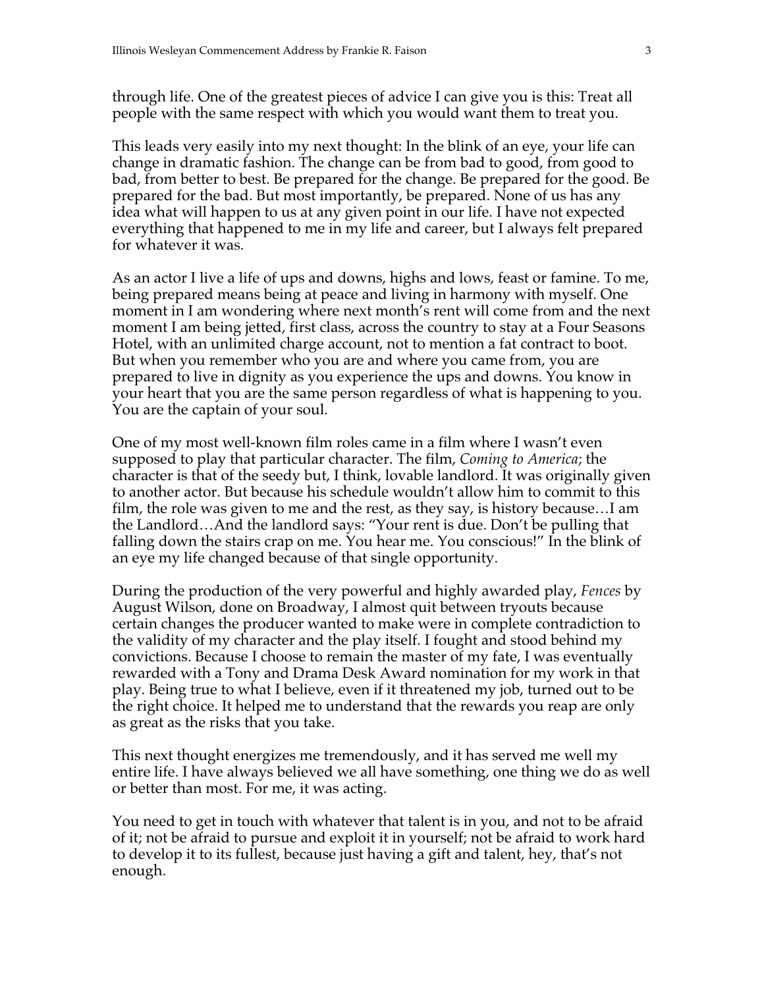through life. One of the greatest pieces of advice I can give you is this: Treat all people with the same respect with which you would want them to treat you.

This leads very easily into my next thought: In the blink of an eye, your life can change in dramatic fashion. The change can be from bad to good, from good to bad, from better to best. Be prepared for the change. Be prepared for the good. Be prepared for the bad. But most importantly, be prepared. None of us has any idea what will happen to us at any given point in our life. I have not expected everything that happened to me in my life and career, but I always felt prepared for whatever it was.

As an actor I live a life of ups and downs, highs and lows, feast or famine. To me, being prepared means being at peace and living in harmony with myself. One moment in I am wondering where next month's rent will come from and the next moment I am being jetted, first class, across the country to stay at a Four Seasons Hotel, with an unlimited charge account, not to mention a fat contract to boot. But when you remember who you are and where you came from, you are prepared to live in dignity as you experience the ups and downs. You know in your heart that you are the same person regardless of what is happening to you. You are the captain of your soul.

One of my most well-known film roles came in a film where I wasn't even supposed to play that particular character. The film, *Coming to America*; the character is that of the seedy but, I think, lovable landlord. It was originally given to another actor. But because his schedule wouldn't allow him to commit to this film, the role was given to me and the rest, as they say, is history because…I am the Landlord…And the landlord says: "Your rent is due. Don't be pulling that falling down the stairs crap on me. You hear me. You conscious!" In the blink of an eye my life changed because of that single opportunity.

During the production of the very powerful and highly awarded play, *Fences* by August Wilson, done on Broadway, I almost quit between tryouts because certain changes the producer wanted to make were in complete contradiction to the validity of my character and the play itself. I fought and stood behind my convictions. Because I choose to remain the master of my fate, I was eventually rewarded with a Tony and Drama Desk Award nomination for my work in that play. Being true to what I believe, even if it threatened my job, turned out to be the right choice. It helped me to understand that the rewards you reap are only as great as the risks that you take.

This next thought energizes me tremendously, and it has served me well my entire life. I have always believed we all have something, one thing we do as well or better than most. For me, it was acting.

You need to get in touch with whatever that talent is in you, and not to be afraid of it; not be afraid to pursue and exploit it in yourself; not be afraid to work hard to develop it to its fullest, because just having a gift and talent, hey, that's not enough.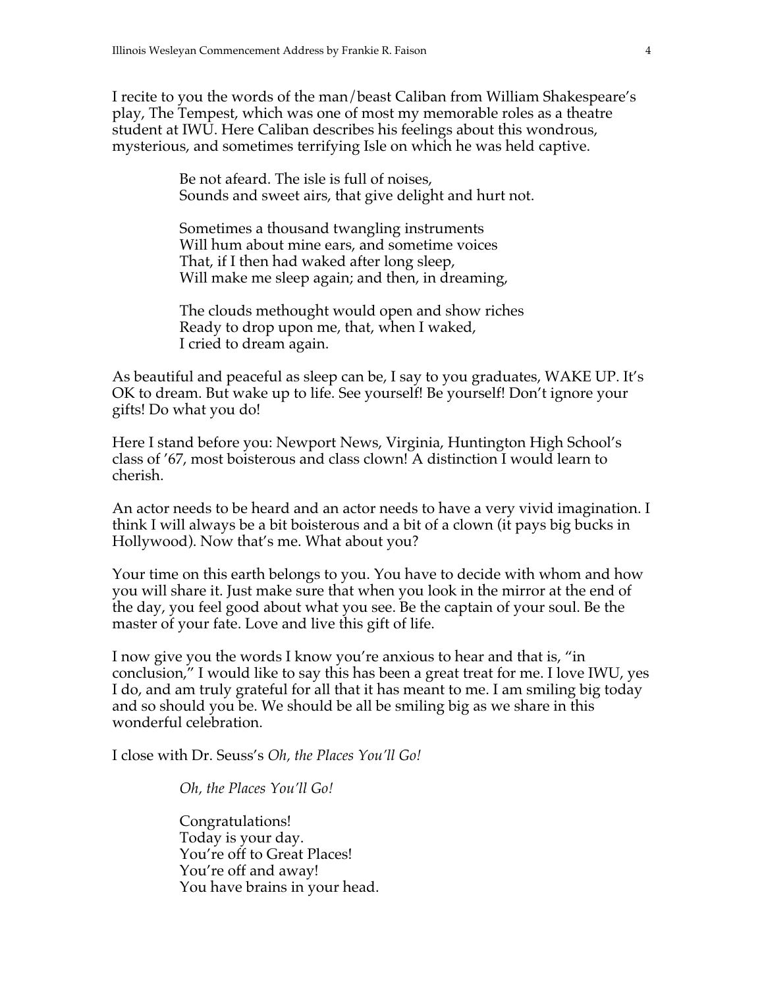I recite to you the words of the man/beast Caliban from William Shakespeare's play, The Tempest, which was one of most my memorable roles as a theatre student at IWU. Here Caliban describes his feelings about this wondrous, mysterious, and sometimes terrifying Isle on which he was held captive.

> Be not afeard. The isle is full of noises, Sounds and sweet airs, that give delight and hurt not.

Sometimes a thousand twangling instruments Will hum about mine ears, and sometime voices That, if I then had waked after long sleep, Will make me sleep again; and then, in dreaming,

The clouds methought would open and show riches Ready to drop upon me, that, when I waked, I cried to dream again.

As beautiful and peaceful as sleep can be, I say to you graduates, WAKE UP. It's OK to dream. But wake up to life. See yourself! Be yourself! Don't ignore your gifts! Do what you do!

Here I stand before you: Newport News, Virginia, Huntington High School's class of '67, most boisterous and class clown! A distinction I would learn to cherish.

An actor needs to be heard and an actor needs to have a very vivid imagination. I think I will always be a bit boisterous and a bit of a clown (it pays big bucks in Hollywood). Now that's me. What about you?

Your time on this earth belongs to you. You have to decide with whom and how you will share it. Just make sure that when you look in the mirror at the end of the day, you feel good about what you see. Be the captain of your soul. Be the master of your fate. Love and live this gift of life.

I now give you the words I know you're anxious to hear and that is, "in conclusion," I would like to say this has been a great treat for me. I love IWU, yes I do, and am truly grateful for all that it has meant to me. I am smiling big today and so should you be. We should be all be smiling big as we share in this wonderful celebration.

I close with Dr. Seuss's *Oh, the Places You'll Go!*

*Oh, the Places You'll Go!*

Congratulations! Today is your day. You're off to Great Places! You're off and away! You have brains in your head.